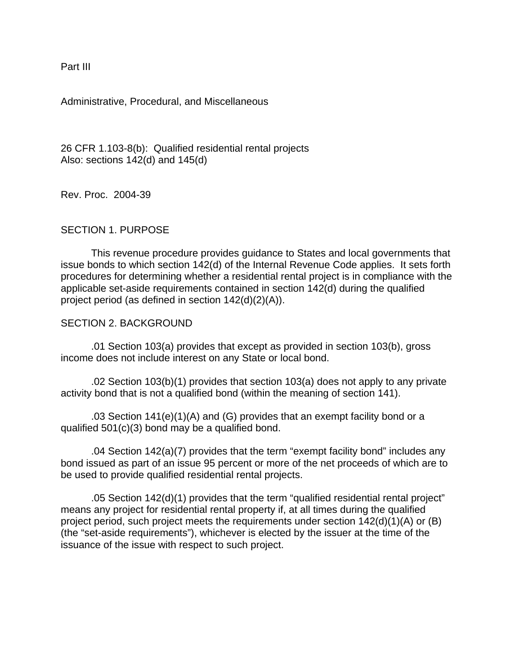Part III

Administrative, Procedural, and Miscellaneous

26 CFR 1.103-8(b): Qualified residential rental projects Also: sections 142(d) and 145(d)

Rev. Proc. 2004-39

# SECTION 1. PURPOSE

This revenue procedure provides guidance to States and local governments that issue bonds to which section 142(d) of the Internal Revenue Code applies. It sets forth procedures for determining whether a residential rental project is in compliance with the applicable set-aside requirements contained in section 142(d) during the qualified project period (as defined in section 142(d)(2)(A)).

#### SECTION 2. BACKGROUND

.01 Section 103(a) provides that except as provided in section 103(b), gross income does not include interest on any State or local bond.

.02 Section 103(b)(1) provides that section 103(a) does not apply to any private activity bond that is not a qualified bond (within the meaning of section 141).

.03 Section 141(e)(1)(A) and (G) provides that an exempt facility bond or a qualified 501(c)(3) bond may be a qualified bond.

.04 Section 142(a)(7) provides that the term "exempt facility bond" includes any bond issued as part of an issue 95 percent or more of the net proceeds of which are to be used to provide qualified residential rental projects.

.05 Section 142(d)(1) provides that the term "qualified residential rental project" means any project for residential rental property if, at all times during the qualified project period, such project meets the requirements under section  $142(d)(1)(A)$  or (B) (the "set-aside requirements"), whichever is elected by the issuer at the time of the issuance of the issue with respect to such project.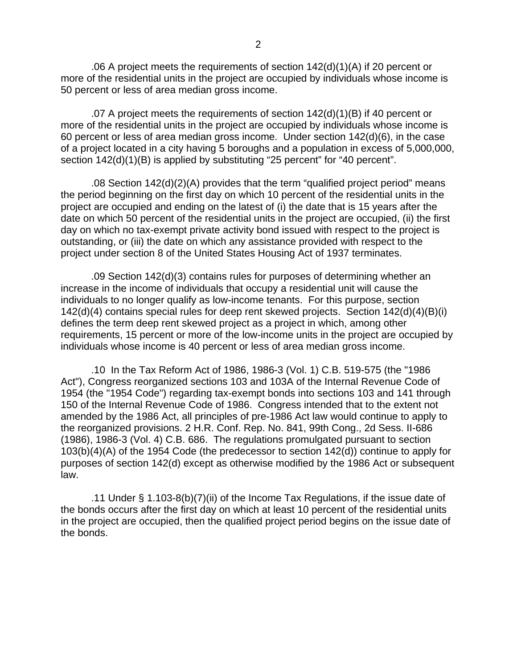.06 A project meets the requirements of section 142(d)(1)(A) if 20 percent or more of the residential units in the project are occupied by individuals whose income is 50 percent or less of area median gross income.

.07 A project meets the requirements of section 142(d)(1)(B) if 40 percent or more of the residential units in the project are occupied by individuals whose income is 60 percent or less of area median gross income. Under section 142(d)(6), in the case of a project located in a city having 5 boroughs and a population in excess of 5,000,000, section  $142(d)(1)(B)$  is applied by substituting "25 percent" for "40 percent".

.08 Section 142(d)(2)(A) provides that the term "qualified project period" means the period beginning on the first day on which 10 percent of the residential units in the project are occupied and ending on the latest of (i) the date that is 15 years after the date on which 50 percent of the residential units in the project are occupied, (ii) the first day on which no tax-exempt private activity bond issued with respect to the project is outstanding, or (iii) the date on which any assistance provided with respect to the project under section 8 of the United States Housing Act of 1937 terminates.

.09 Section 142(d)(3) contains rules for purposes of determining whether an increase in the income of individuals that occupy a residential unit will cause the individuals to no longer qualify as low-income tenants. For this purpose, section 142(d)(4) contains special rules for deep rent skewed projects. Section 142(d)(4)(B)(i) defines the term deep rent skewed project as a project in which, among other requirements, 15 percent or more of the low-income units in the project are occupied by individuals whose income is 40 percent or less of area median gross income.

.10 In the Tax Reform Act of 1986, 1986-3 (Vol. 1) C.B. 519-575 (the "1986 Act"), Congress reorganized sections 103 and 103A of the Internal Revenue Code of 1954 (the "1954 Code") regarding tax-exempt bonds into sections 103 and 141 through 150 of the Internal Revenue Code of 1986. Congress intended that to the extent not amended by the 1986 Act, all principles of pre-1986 Act law would continue to apply to the reorganized provisions. 2 H.R. Conf. Rep. No. 841, 99th Cong., 2d Sess. II-686 (1986), 1986-3 (Vol. 4) C.B. 686. The regulations promulgated pursuant to section 103(b)(4)(A) of the 1954 Code (the predecessor to section 142(d)) continue to apply for purposes of section 142(d) except as otherwise modified by the 1986 Act or subsequent law.

.11 Under § 1.103-8(b)(7)(ii) of the Income Tax Regulations, if the issue date of the bonds occurs after the first day on which at least 10 percent of the residential units in the project are occupied, then the qualified project period begins on the issue date of the bonds.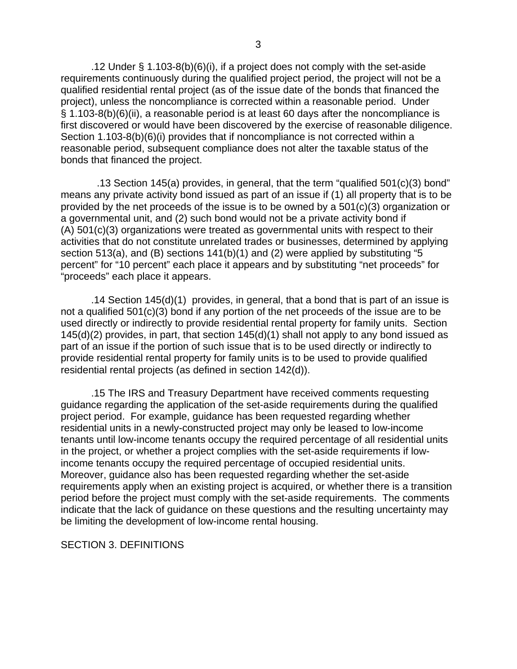.12 Under § 1.103-8(b)(6)(i), if a project does not comply with the set-aside requirements continuously during the qualified project period, the project will not be a qualified residential rental project (as of the issue date of the bonds that financed the project), unless the noncompliance is corrected within a reasonable period. Under § 1.103-8(b)(6)(ii), a reasonable period is at least 60 days after the noncompliance is first discovered or would have been discovered by the exercise of reasonable diligence. Section 1.103-8(b)(6)(i) provides that if noncompliance is not corrected within a reasonable period, subsequent compliance does not alter the taxable status of the bonds that financed the project.

 .13 Section 145(a) provides, in general, that the term "qualified 501(c)(3) bond" means any private activity bond issued as part of an issue if (1) all property that is to be provided by the net proceeds of the issue is to be owned by a 501(c)(3) organization or a governmental unit, and (2) such bond would not be a private activity bond if (A) 501(c)(3) organizations were treated as governmental units with respect to their activities that do not constitute unrelated trades or businesses, determined by applying section 513(a), and (B) sections 141(b)(1) and (2) were applied by substituting "5 percent" for "10 percent" each place it appears and by substituting "net proceeds" for "proceeds" each place it appears.

.14 Section 145(d)(1) provides, in general, that a bond that is part of an issue is not a qualified 501(c)(3) bond if any portion of the net proceeds of the issue are to be used directly or indirectly to provide residential rental property for family units. Section 145(d)(2) provides, in part, that section 145(d)(1) shall not apply to any bond issued as part of an issue if the portion of such issue that is to be used directly or indirectly to provide residential rental property for family units is to be used to provide qualified residential rental projects (as defined in section 142(d)).

.15 The IRS and Treasury Department have received comments requesting guidance regarding the application of the set-aside requirements during the qualified project period. For example, guidance has been requested regarding whether residential units in a newly-constructed project may only be leased to low-income tenants until low-income tenants occupy the required percentage of all residential units in the project, or whether a project complies with the set-aside requirements if lowincome tenants occupy the required percentage of occupied residential units. Moreover, guidance also has been requested regarding whether the set-aside requirements apply when an existing project is acquired, or whether there is a transition period before the project must comply with the set-aside requirements. The comments indicate that the lack of guidance on these questions and the resulting uncertainty may be limiting the development of low-income rental housing.

SECTION 3. DEFINITIONS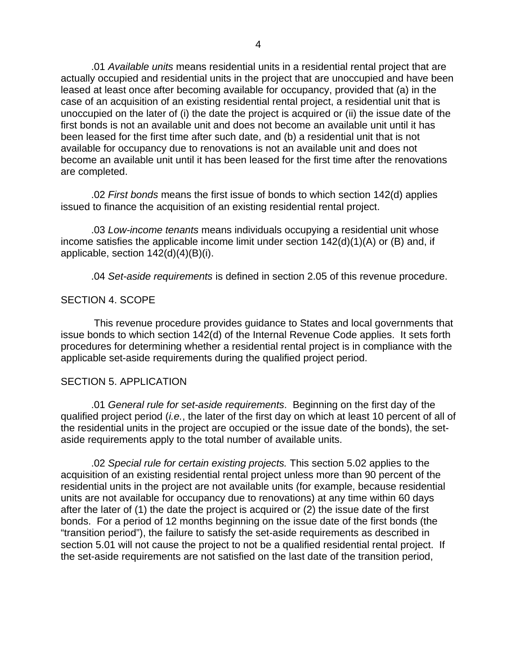.01 *Available units* means residential units in a residential rental project that are actually occupied and residential units in the project that are unoccupied and have been leased at least once after becoming available for occupancy, provided that (a) in the case of an acquisition of an existing residential rental project, a residential unit that is unoccupied on the later of (i) the date the project is acquired or (ii) the issue date of the first bonds is not an available unit and does not become an available unit until it has been leased for the first time after such date, and (b) a residential unit that is not available for occupancy due to renovations is not an available unit and does not become an available unit until it has been leased for the first time after the renovations are completed.

.02 *First bonds* means the first issue of bonds to which section 142(d) applies issued to finance the acquisition of an existing residential rental project.

.03 *Low-income tenants* means individuals occupying a residential unit whose income satisfies the applicable income limit under section 142(d)(1)(A) or (B) and, if applicable, section 142(d)(4)(B)(i).

.04 *Set-aside requirements* is defined in section 2.05 of this revenue procedure.

# SECTION 4. SCOPE

 This revenue procedure provides guidance to States and local governments that issue bonds to which section 142(d) of the Internal Revenue Code applies. It sets forth procedures for determining whether a residential rental project is in compliance with the applicable set-aside requirements during the qualified project period.

# SECTION 5. APPLICATION

.01 *General rule for set-aside requirements*. Beginning on the first day of the qualified project period (*i.e.*, the later of the first day on which at least 10 percent of all of the residential units in the project are occupied or the issue date of the bonds), the setaside requirements apply to the total number of available units.

.02 *Special rule for certain existing projects.* This section 5.02 applies to the acquisition of an existing residential rental project unless more than 90 percent of the residential units in the project are not available units (for example, because residential units are not available for occupancy due to renovations) at any time within 60 days after the later of (1) the date the project is acquired or (2) the issue date of the first bonds. For a period of 12 months beginning on the issue date of the first bonds (the "transition period"), the failure to satisfy the set-aside requirements as described in section 5.01 will not cause the project to not be a qualified residential rental project. If the set-aside requirements are not satisfied on the last date of the transition period,